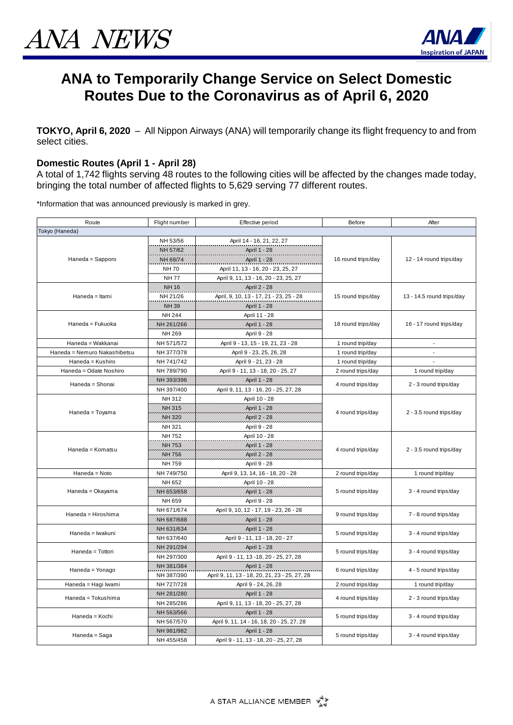

## **ANA to Temporarily Change Service on Select Domestic Routes Due to the Coronavirus as of April 6, 2020**

**TOKYO, April 6, 2020** – All Nippon Airways (ANA) will temporarily change its flight frequency to and from select cities.

## **Domestic Routes (April 1 - April 28)**

A total of 1,742 flights serving 48 routes to the following cities will be affected by the changes made today, bringing the total number of affected flights to 5,629 serving 77 different routes.

\*Information that was announced previously is marked in grey.

| Route                        | Flight number | Effective period                              | Before                                     | After                     |
|------------------------------|---------------|-----------------------------------------------|--------------------------------------------|---------------------------|
| Tokyo (Haneda)               |               |                                               |                                            |                           |
| Haneda = Sapporo             | NH 53/56      | April 14 - 16, 21, 22, 27                     | 16 round trips/day                         | 12 - 14 round trips/day   |
|                              | NH 57/62      | April 1 - 28                                  |                                            |                           |
|                              | NH 69/74      | April 1 - 28                                  |                                            |                           |
|                              | <b>NH70</b>   | April 11, 13 - 16, 20 - 23, 25, 27            |                                            |                           |
|                              | <b>NH77</b>   | April 9, 11, 13 - 16, 20 - 23, 25, 27         |                                            |                           |
| Haneda = Itami               | <b>NH16</b>   | April 2 - 28                                  | 15 round trips/day                         | 13 - 14.5 round trips/day |
|                              | NH 21/26      | April, 9, 10, 13 - 17, 21 - 23, 25 - 28       |                                            |                           |
|                              | <b>NH39</b>   | April 1 - 28                                  |                                            |                           |
| Haneda = Fukuoka             | <b>NH 244</b> | April 11 - 28                                 | 18 round trips/day                         | 16 - 17 round trips/day   |
|                              | NH 261/266    | April 1 - 28                                  |                                            |                           |
|                              | NH 269        | April 9 - 28                                  |                                            |                           |
| Haneda = Wakkanai            | NH 571/572    | April 9 - 13, 15 - 19, 21, 23 - 28            | 1 round trip/day                           | $\overline{a}$            |
| Haneda = Nemuro Nakashibetsu | NH 377/378    | April 9 - 23, 25, 26, 28                      | 1 round trip/day                           | ÷,                        |
| Haneda = Kushiro             | NH 741/742    | April 9 - 21, 23 - 28                         | 1 round trip/day                           |                           |
| Haneda = Odate Noshiro       | NH 789/790    | April 9 - 11, 13 - 18, 20 - 25, 27            | 2 round trips/day                          | 1 round trip/day          |
| Haneda = Shonai              | NH 393/396    | April 1 - 28                                  |                                            | 2 - 3 round trips/day     |
|                              | NH 397/400    | April 9, 11, 13 - 16, 20 - 25, 27, 28         | 4 round trips/day                          |                           |
| Haneda = Toyama              | NH 312        | April 10 - 28                                 | 4 round trips/day                          | 2 - 3.5 round trips/day   |
|                              | <b>NH315</b>  | April 1 - 28                                  |                                            |                           |
|                              | <b>NH320</b>  | April 2 - 28                                  |                                            |                           |
|                              | NH 321        | April 9 - 28                                  |                                            |                           |
| Haneda = Komatsu             | <b>NH752</b>  | April 10 - 28                                 | 4 round trips/day                          | 2 - 3.5 round trips/day   |
|                              | <b>NH753</b>  | April 1 - 28                                  |                                            |                           |
|                              | NH 756        | April 2 - 28                                  |                                            |                           |
|                              | NH 759        | April 9 - 28                                  |                                            |                           |
| Haneda = Noto                | NH 749/750    | April 9, 13, 14, 16 - 18, 20 - 28             | 2 round trips/day                          | 1 round trip/day          |
|                              | NH 652        | April 10 - 28                                 |                                            | 3 - 4 round trips/day     |
| Haneda = Okayama             | NH 653/658    | April 1 - 28                                  | 5 round trips/day                          |                           |
|                              | NH 659        | April 9 - 28                                  |                                            |                           |
|                              | NH 671/674    | April 9, 10, 12 - 17, 19 - 23, 26 - 28        | 9 round trips/day                          | 7 - 8 round trips/day     |
| Haneda = Hiroshima           | NH 687/688    | April 1 - 28                                  |                                            |                           |
| Haneda = Iwakuni             | NH 631/634    | April 1 - 28                                  | 5 round trips/day                          | 3 - 4 round trips/day     |
|                              | NH 637/640    | April 9 - 11, 13 - 18, 20 - 27                |                                            |                           |
| Haneda = Tottori             | NH 291/294    | April 1 - 28                                  | 5 round trips/day                          | 3 - 4 round trips/day     |
|                              | NH 297/300    | April 9 - 11, 13 - 18, 20 - 25, 27, 28        |                                            |                           |
| Haneda = Yonago              | NH 381/384    | April 1 - 28                                  | 6 round trips/day                          | 4 - 5 round trips/day     |
|                              | NH 387/390    | April 9, 11, 13 - 18, 20, 21, 23 - 25, 27, 28 |                                            |                           |
| Haneda = Hagi Iwami          | NH 727/728    | April 9 - 24, 26, 28                          | 2 round trips/day                          | 1 round trip/day          |
| Haneda = Tokushima           | NH 281/280    | April 1 - 28                                  | 4 round trips/day                          | 2 - 3 round trips/day     |
|                              | NH 285/286    | April 9, 11, 13 - 18, 20 - 25, 27, 28         |                                            |                           |
| Haneda = Kochi               | NH 563/566    | April 1 - 28                                  | 5 round trips/day                          | 3 - 4 round trips/day     |
|                              | NH 567/570    | April 9, 11, 14 - 16, 18, 20 - 25, 27, 28     |                                            |                           |
| Haneda = Saga                | NH 981/982    | April 1 - 28                                  | 5 round trips/day<br>3 - 4 round trips/day |                           |
|                              | NH 455/458    | April 9 - 11, 13 - 18, 20 - 25, 27, 28        |                                            |                           |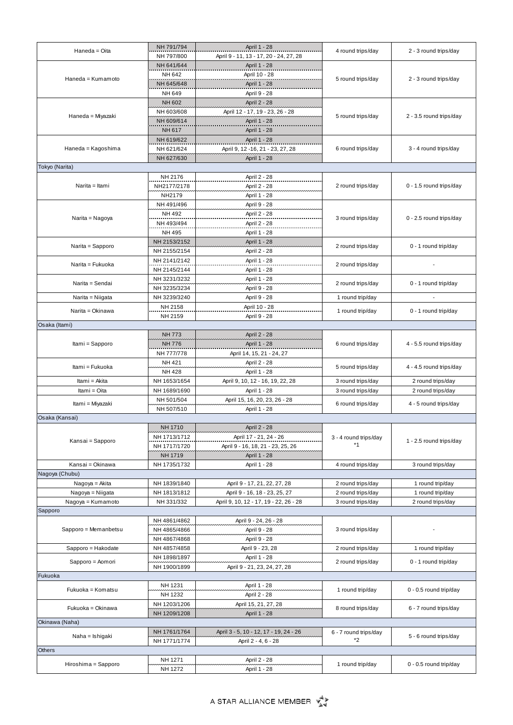|                                         | NH 791/794         | April 1 - 28                           |                       |                         |
|-----------------------------------------|--------------------|----------------------------------------|-----------------------|-------------------------|
| Haneda = Oita                           | NH 797/800         | April 9 - 11, 13 - 17, 20 - 24, 27, 28 | 4 round trips/day     | 2 - 3 round trips/day   |
|                                         | NH 641/644         | April 1 - 28                           |                       |                         |
| Haneda = Kumamoto                       | NH 642             | April 10 - 28                          | 5 round trips/day     | 2 - 3 round trips/day   |
|                                         | NH 645/648         | April 1 - 28                           |                       |                         |
|                                         | NH 649             | April 9 - 28                           |                       |                         |
|                                         | NH 602             | April 2 - 28                           |                       |                         |
|                                         | NH 603/608         | April 12 - 17, 19 - 23, 26 - 28        | 5 round trips/day     |                         |
| Haneda = Miyazaki<br>Haneda = Kagoshima |                    |                                        |                       | 2 - 3.5 round trips/day |
|                                         | NH 609/614         | April 1 - 28                           |                       |                         |
|                                         | NH 617             | April 1 - 28                           |                       |                         |
|                                         | NH 619/622         | April 1 - 28                           |                       |                         |
|                                         | NH 621/624         | April 9, 12 -16, 21 - 23, 27, 28       | 6 round trips/day     | 3 - 4 round trips/day   |
|                                         | NH 627/630         | April 1 - 28                           |                       |                         |
| Tokyo (Narita)                          |                    |                                        |                       |                         |
| Narita = Itami                          | NH 2176            | April 2 - 28                           | 2 round trips/day     | 0 - 1.5 round trips/day |
|                                         | NH2177/2178        | April 2 - 28                           |                       |                         |
|                                         | NH2179             | April 1 - 28                           |                       |                         |
| Narita = Nagoya                         | NH 491/496         | April 9 - 28                           |                       | 0 - 2.5 round trips/day |
|                                         | NH 492             | April 2 - 28                           |                       |                         |
|                                         | NH 493/494         | April 2 - 28                           | 3 round trips/day     |                         |
|                                         |                    |                                        |                       |                         |
|                                         | NH 495             | April 1 - 28                           |                       |                         |
| Narita = Sapporo                        | NH 2153/2152       | April 1 - 28                           | 2 round trips/day     | 0 - 1 round trip/day    |
|                                         | NH 2155/2154       | April 2 - 28                           |                       |                         |
| Narita = Fukuoka                        | NH 2141/2142       | April 1 - 28                           | 2 round trips/day     |                         |
|                                         | NH 2145/2144       | April 1 - 28                           |                       |                         |
|                                         | NH 3231/3232       | April 1 - 28                           |                       |                         |
| Narita = Sendai                         | NH 3235/3234       | April 9 - 28                           | 2 round trips/day     | 0 - 1 round trip/day    |
| Narita = Niigata                        | NH 3239/3240       | April 9 - 28                           | 1 round trip/day      | $\sim$                  |
|                                         | NH 2158            | April 10 - 28                          |                       |                         |
| Narita = Okinawa                        | NH 2159            | April 9 - 28                           | 1 round trip/day      | 0 - 1 round trip/day    |
|                                         |                    |                                        |                       |                         |
| Osaka (Itami)                           |                    |                                        |                       |                         |
|                                         | <b>NH 773</b>      | April 2 - 28                           |                       |                         |
| Itami = Sapporo                         | <b>NH 776</b>      | April 1 - 28                           | 6 round trips/day     | 4 - 5.5 round trips/day |
|                                         | NH 777/778         | April 14, 15, 21 - 24, 27              |                       |                         |
|                                         |                    |                                        |                       |                         |
|                                         | NH 421             | April 2 - 28                           |                       |                         |
| Itami = Fukuoka                         | <b>NH 428</b>      | April 1 - 28                           | 5 round trips/day     | 4 - 4.5 round trips/day |
| Itami = Akita                           | NH 1653/1654       |                                        | 3 round trips/day     | 2 round trips/day       |
| Itami = Oita                            | NH 1689/1690       | April 9, 10, 12 - 16, 19, 22, 28       |                       | 2 round trips/day       |
|                                         |                    | April 1 - 28                           | 3 round trips/day     |                         |
| Itami = Miyazaki                        | NH 501/504         | April 15, 16, 20, 23, 26 - 28          | 6 round trips/day     | 4 - 5 round trips/day   |
|                                         | NH 507/510         | April 1 - 28                           |                       |                         |
| Osaka (Kansai)                          |                    |                                        |                       |                         |
|                                         | <b>NH 1710</b>     | April 2 - 28                           |                       |                         |
| Kansai = Sapporo                        | NH 1713/1712       | April 17 - 21, 24 - 26                 | 3 - 4 round trips/day | 1 - 2.5 round trips/day |
|                                         | NH 1717/1720       | April 9 - 16, 18, 21 - 23, 25, 26      | *1                    |                         |
|                                         | NH 1719            | April 1 - 28                           |                       |                         |
| Kansai = Okinawa                        | NH 1735/1732       | April 1 - 28                           | 4 round trips/day     | 3 round trips/day       |
| Nagoya (Chubu)                          |                    |                                        |                       |                         |
| Nagoya = Akita                          | NH 1839/1840       | April 9 - 17, 21, 22, 27, 28           | 2 round trips/day     | 1 round trip/day        |
| Nagoya = Niigata                        | NH 1813/1812       | April 9 - 16, 18 - 23, 25, 27          | 2 round trips/day     | 1 round trip/day        |
|                                         | NH 331/332         |                                        |                       |                         |
| Nagoya = Kumamoto                       |                    | April 9, 10, 12 - 17, 19 - 22, 26 - 28 | 3 round trips/day     | 2 round trips/day       |
| Sapporo                                 |                    |                                        |                       |                         |
|                                         | NH 4861/4862       | April 9 - 24, 26 - 28                  |                       |                         |
| Sapporo = Memanbetsu                    | NH 4865/4866       | April 9 - 28                           | 3 round trips/day     |                         |
|                                         | NH 4867/4868       | April 9 - 28                           |                       |                         |
| Sapporo = Hakodate                      | NH 4857/4858       | April 9 - 23, 28                       | 2 round trips/day     | 1 round trip/day        |
|                                         | NH 1898/1897       | April 1 - 28                           |                       |                         |
| Sapporo = Aomori                        | NH 1900/1899       | April 9 - 21, 23, 24, 27, 28           | 2 round trips/day     | 0 - 1 round trip/day    |
| Fukuoka                                 |                    |                                        |                       |                         |
|                                         | NH 1231            | April 1 - 28                           |                       |                         |
| Fukuoka = Komatsu                       | NH 1232            | April 2 - 28                           | 1 round trip/day      | 0 - 0.5 round trip/day  |
|                                         | NH 1203/1206       | April 15, 21, 27, 28                   |                       |                         |
| Fukuoka = Okinawa                       | NH 1209/1208       |                                        | 8 round trips/day     | 6 - 7 round trips/day   |
|                                         |                    | April 1 - 28                           |                       |                         |
| Okinawa (Naha)                          |                    |                                        |                       |                         |
| Naha = Ishigaki                         | NH 1761/1764       | April 3 - 5, 10 - 12, 17 - 19, 24 - 26 | 6 - 7 round trips/day | 5 - 6 round trips/day   |
|                                         | NH 1771/1774       | April 2 - 4, 6 - 28                    | *2                    |                         |
| <b>Others</b>                           |                    |                                        |                       |                         |
| Hiroshima = Sapporo                     | NH 1271<br>NH 1272 | April 2 - 28<br>April 1 - 28           | 1 round trip/day      | 0 - 0.5 round trip/day  |